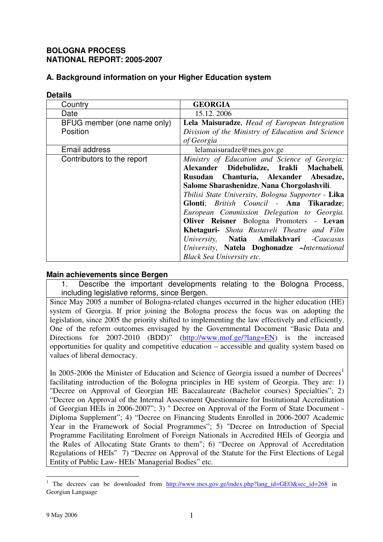### **BOLOGNA PROCESS NATIONAL REPORT: 2005-2007**

## **A. Background information on your Higher Education system**

| <b>Details</b>              |                                                    |
|-----------------------------|----------------------------------------------------|
| Country                     | <b>GEORGIA</b>                                     |
| Date                        | 15.12.2006                                         |
| BFUG member (one name only) | Lela Maisuradze, Head of European Integration      |
| Position                    | Division of the Ministry of Education and Science  |
|                             | of Georgia                                         |
| Email address               | lelamaisuradze@mes.gov.ge                          |
| Contributors to the report  | Ministry of Education and Science of Georgia:      |
|                             | Alexander Didebulidze, Irakli Machabeli,           |
|                             | Rusudan Chanturia, Alexander Abesadze,             |
|                             | Salome Sharashenidze, Nana Chorgolashvili.         |
|                             | Tbilisi State University, Bologna Supporter - Lika |
|                             | Glonti; British Council - Ana Tikaradze;           |
|                             | European Commission Delegation to Georgia.         |
|                             | Oliver Reisner Bologna Promoters - Levan           |
|                             | Khetaguri- Shota Rustaveli Theatre and Film        |
|                             | University, Natia Amilakhvari -Caucasus            |
|                             | University, Natela Doghonadze -International       |
|                             | <b>Black Sea University etc.</b>                   |

#### **Main achievements since Bergen**

1. Describe the important developments relating to the Bologna Process, including legislative reforms, since Bergen.

Since May 2005 a number of Bologna-related changes occurred in the higher education (HE) system of Georgia. If prior joining the Bologna process the focus was on adopting the legislation, since 2005 the priority shifted to implementing the law effectively and efficiently. One of the reform outcomes envisaged by the Governmental Document "Basic Data and Directions for 2007-2010 (BDD)" (http://www.mof.ge/?lang=EN) is the increased opportunities for quality and competitive education – accessible and quality system based on values of liberal democracy.

In 2005-2006 the Minister of Education and Science of Georgia issued a number of Decrees<sup>1</sup> facilitating introduction of the Bologna principles in HE system of Georgia. They are: 1) "Decree on Approval of Georgian HE Baccalaureate (Bachelor courses) Specialties"; 2) "Decree on Approval of the Internal Assessment Questionnaire for Institutional Accreditation of Georgian HEIs in 2006-2007"; 3) " Decree on Approval of the Form of State Document - Diploma Supplement"; 4) "Decree on Financing Students Enrolled in 2006-2007 Academic Year in the Framework of Social Programmes"; 5) "Decree on Introduction of Special Programme Facilitating Enrolment of Foreign Nationals in Accredited HEIs of Georgia and the Rules of Allocating State Grants to them"; 6) "Decree on Approval of Accreditation Regulations of HEIs" 7) "Decree on Approval of the Statute for the First Elections of Legal Entity of Public Law- HEIs' Managerial Bodies" etc.

<sup>&</sup>lt;sup>1</sup> The decrees can be downloaded from  $\frac{http://www.mes.gov.get/index.php?lang_id=GEO&sec_id=268}$  in Georgian Language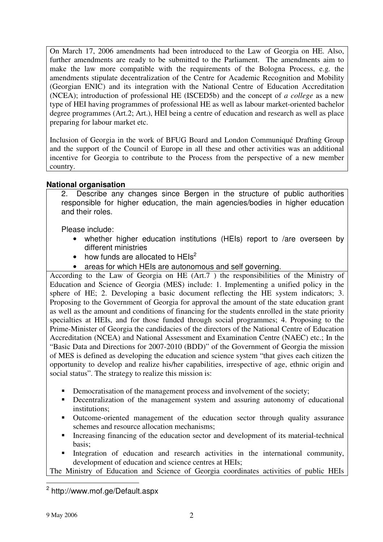On March 17, 2006 amendments had been introduced to the Law of Georgia on HE. Also, further amendments are ready to be submitted to the Parliament. The amendments aim to make the law more compatible with the requirements of the Bologna Process, e.g. the amendments stipulate decentralization of the Centre for Academic Recognition and Mobility (Georgian ENIC) and its integration with the National Centre of Education Accreditation (NCEA); introduction of professional HE (ISCED5b) and the concept of *a college* as a new type of HEI having programmes of professional HE as well as labour market-oriented bachelor degree programmes (Art.2; Art.), HEI being a centre of education and research as well as place preparing for labour market etc.

Inclusion of Georgia in the work of BFUG Board and London Communiqué Drafting Group and the support of the Council of Europe in all these and other activities was an additional incentive for Georgia to contribute to the Process from the perspective of a new member country.

## **National organisation**

2. Describe any changes since Bergen in the structure of public authorities responsible for higher education, the main agencies/bodies in higher education and their roles.

Please include:

- whether higher education institutions (HEIs) report to /are overseen by different ministries
- how funds are allocated to  $HEIs^2$
- areas for which HEIs are autonomous and self governing.

According to the Law of Georgia on HE (Art.7 ) the responsibilities of the Ministry of Education and Science of Georgia (MES) include: 1. Implementing a unified policy in the sphere of HE; 2. Developing a basic document reflecting the HE system indicators; 3. Proposing to the Government of Georgia for approval the amount of the state education grant as well as the amount and conditions of financing for the students enrolled in the state priority specialties at HEIs, and for those funded through social programmes; 4. Proposing to the Prime-Minister of Georgia the candidacies of the directors of the National Centre of Education Accreditation (NCEA) and National Assessment and Examination Centre (NAEC) etc.; In the "Basic Data and Directions for 2007-2010 (BDD)" of the Government of Georgia the mission of MES is defined as developing the education and science system "that gives each citizen the opportunity to develop and realize his/her capabilities, irrespective of age, ethnic origin and social status". The strategy to realize this mission is:

- Democratisation of the management process and involvement of the society;
- **•** Decentralization of the management system and assuring autonomy of educational institutions;
- Outcome-oriented management of the education sector through quality assurance schemes and resource allocation mechanisms;
- Increasing financing of the education sector and development of its material-technical basis;
- Integration of education and research activities in the international community, development of education and science centres at HEIs;

The Ministry of Education and Science of Georgia coordinates activities of public HEIs

<sup>&</sup>lt;sup>2</sup> http://www.mof.ge/Default.aspx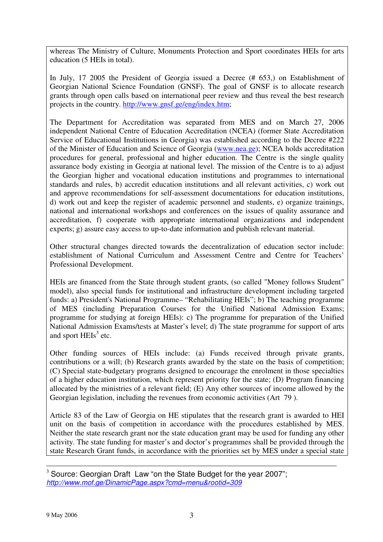whereas The Ministry of Culture, Monuments Protection and Sport coordinates HEIs for arts education (5 HEIs in total).

In July, 17 2005 the President of Georgia issued a Decree (# 653,) on Establishment of Georgian National Science Foundation (GNSF). The goal of GNSF is to allocate research grants through open calls based on international peer review and thus reveal the best research projects in the country. http://www.gnsf.ge/eng/index.htm;

The Department for Accreditation was separated from MES and on March 27, 2006 independent National Centre of Education Accreditation (NCEA) (former State Accreditation Service of Educational Institutions in Georgia) was established according to the Decree #222 of the Minister of Education and Science of Georgia (www.nea.ge); NCEA holds accreditation procedures for general, professional and higher education. The Centre is the single quality assurance body existing in Georgia at national level. The mission of the Centre is to a) adjust the Georgian higher and vocational education institutions and programmes to international standards and rules, b) accredit education institutions and all relevant activities, c) work out and approve recommendations for self-assessment documentations for education institutions, d) work out and keep the register of academic personnel and students, e) organize trainings, national and international workshops and conferences on the issues of quality assurance and accreditation, f) cooperate with appropriate international organizations and independent experts; g) assure easy access to up-to-date information and publish relevant material.

Other structural changes directed towards the decentralization of education sector include: establishment of National Curriculum and Assessment Centre and Centre for Teachers' Professional Development.

HEIs are financed from the State through student grants, (so called "Money follows Student" model), also special funds for institutional and infrastructure development including targeted funds: a) President's National Programme– "Rehabilitating HEIs"; b) The teaching programme of MES (including Preparation Courses for the Unified National Admission Exams; programme for studying at foreign HEIs): c) The programme for preparation of the Unified National Admission Exams/tests at Master's level; d) The state programme for support of arts and sport HEIs<sup>3</sup> etc.

Other funding sources of HEIs include: (a) Funds received through private grants, contributions or a will; (b) Research grants awarded by the state on the basis of competition; (C) Special state-budgetary programs designed to encourage the enrolment in those specialties of a higher education institution, which represent priority for the state; (D) Program financing allocated by the ministries of a relevant field; (E) Any other sources of income allowed by the Georgian legislation, including the revenues from economic activities (Art 79 ).

Article 83 of the Law of Georgia on HE stipulates that the research grant is awarded to HEI unit on the basis of competition in accordance with the procedures established by MES. Neither the state research grant nor the state education grant may be used for funding any other activity. The state funding for master's and doctor's programmes shall be provided through the state Research Grant funds, in accordance with the priorities set by MES under a special state

 $3$  Source: Georgian Draft Law "on the State Budget for the year 2007"; *http://www.mof.ge/DinamicPage.aspx?cmd=menu&rootid=309*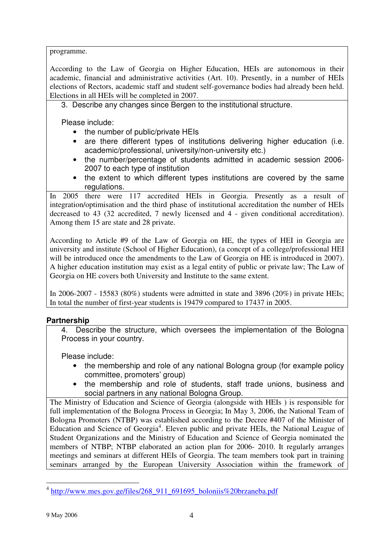programme.

According to the Law of Georgia on Higher Education, HEIs are autonomous in their academic, financial and administrative activities (Art. 10). Presently, in a number of HEIs elections of Rectors, academic staff and student self-governance bodies had already been held. Elections in all HEIs will be completed in 2007.

3. Describe any changes since Bergen to the institutional structure.

Please include:

- the number of public/private HEIs
- are there different types of institutions delivering higher education (i.e. academic/professional, university/non-university etc.)
- the number/percentage of students admitted in academic session 2006- 2007 to each type of institution
- the extent to which different types institutions are covered by the same regulations.

In 2005 there were 117 accredited HEIs in Georgia. Presently as a result of integration/optimisation and the third phase of institutional accreditation the number of HEIs decreased to 43 (32 accredited, 7 newly licensed and 4 - given conditional accreditation). Among them 15 are state and 28 private.

According to Article #9 of the Law of Georgia on HE, the types of HEI in Georgia are university and institute (School of Higher Education), (a concept of a college/professional HEI will be introduced once the amendments to the Law of Georgia on HE is introduced in 2007). A higher education institution may exist as a legal entity of public or private law; The Law of Georgia on HE covers both University and Institute to the same extent.

In 2006-2007 - 15583 (80%) students were admitted in state and 3896 (20%) in private HEIs; In total the number of first-year students is 19479 compared to 17437 in 2005.

# **Partnership**

4. Describe the structure, which oversees the implementation of the Bologna Process in your country.

Please include:

- the membership and role of any national Bologna group (for example policy committee, promoters' group)
- the membership and role of students, staff trade unions, business and social partners in any national Bologna Group.

The Ministry of Education and Science of Georgia (alongside with HEIs ) is responsible for full implementation of the Bologna Process in Georgia; In May 3, 2006, the National Team of Bologna Promoters (NTBP) was established according to the Decree #407 of the Minister of Education and Science of Georgia<sup>4</sup>. Eleven public and private HEIs, the National League of Student Organizations and the Ministry of Education and Science of Georgia nominated the members of NTBP; NTBP elaborated an action plan for 2006- 2010. It regularly arranges meetings and seminars at different HEIs of Georgia. The team members took part in training seminars arranged by the European University Association within the framework of

<sup>&</sup>lt;sup>4</sup> http://www.mes.gov.ge/files/268\_911\_691695\_boloniis%20brzaneba.pdf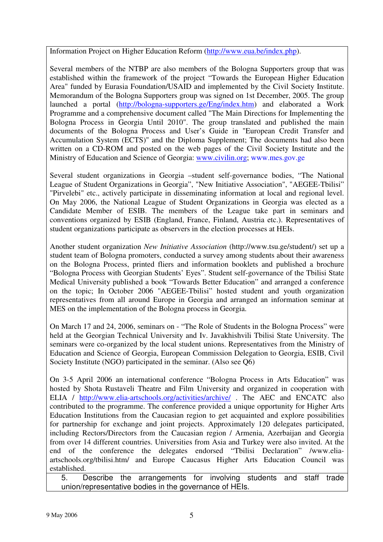Information Project on Higher Education Reform (http://www.eua.be/index.php).

Several members of the NTBP are also members of the Bologna Supporters group that was established within the framework of the project "Towards the European Higher Education Area" funded by Eurasia Foundation/USAID and implemented by the Civil Society Institute. Memorandum of the Bologna Supporters group was signed on 1st December, 2005. The group launched a portal (http://bologna-supporters.ge/Eng/index.htm) and elaborated a Work Programme and a comprehensive document called "The Main Directions for Implementing the Bologna Process in Georgia Until 2010". The group translated and published the main documents of the Bologna Process and User's Guide in "European Credit Transfer and Accumulation System (ECTS)" and the Diploma Supplement; The documents had also been written on a CD-ROM and posted on the web pages of the Civil Society Institute and the Ministry of Education and Science of Georgia: www.civilin.org; www.mes.gov.ge

Several student organizations in Georgia –student self-governance bodies, "The National League of Student Organizations in Georgia", "New Initiative Association", "AEGEE-Tbilisi" "Pirvelebi" etc., actively participate in disseminating information at local and regional level. On May 2006, the National League of Student Organizations in Georgia was elected as a Candidate Member of ESIB. The members of the League take part in seminars and conventions organized by ESIB (England, France, Finland, Austria etc.). Representatives of student organizations participate as observers in the election processes at HEIs.

Another student organization *New Initiative Association* (http://www.tsu.ge/student/) set up a student team of Bologna promoters, conducted a survey among students about their awareness on the Bologna Process, printed fliers and information booklets and published a brochure "Bologna Process with Georgian Students' Eyes". Student self-governance of the Tbilisi State Medical University published a book "Towards Better Education" and arranged a conference on the topic; In October 2006 "AEGEE-Tbilisi" hosted student and youth organization representatives from all around Europe in Georgia and arranged an information seminar at MES on the implementation of the Bologna process in Georgia.

On March 17 and 24, 2006, seminars on - "The Role of Students in the Bologna Process" were held at the Georgian Technical University and Iv. Javakhishvili Tbilisi State University. The seminars were co-organized by the local student unions. Representatives from the Ministry of Education and Science of Georgia, European Commission Delegation to Georgia, ESIB, Civil Society Institute (NGO) participated in the seminar. (Also see Q6)

On 3-5 April 2006 an international conference "Bologna Process in Arts Education" was hosted by Shota Rustaveli Theatre and Film University and organized in cooperation with ELIA / http://www.elia-artschools.org/activities/archive/ . The AEC and ENCATC also contributed to the programme. The conference provided a unique opportunity for Higher Arts Education Institutions from the Caucasian region to get acquainted and explore possibilities for partnership for exchange and joint projects. Approximately 120 delegates participated, including Rectors/Directors from the Caucasian region / Armenia, Azerbaijan and Georgia from over 14 different countries. Universities from Asia and Turkey were also invited. At the end of the conference the delegates endorsed "Tbilisi Declaration" /www.eliaartschools.org/tbilisi.htm/ and Europe Caucasus Higher Arts Education Council was established.

5. Describe the arrangements for involving students and staff trade union/representative bodies in the governance of HEIs.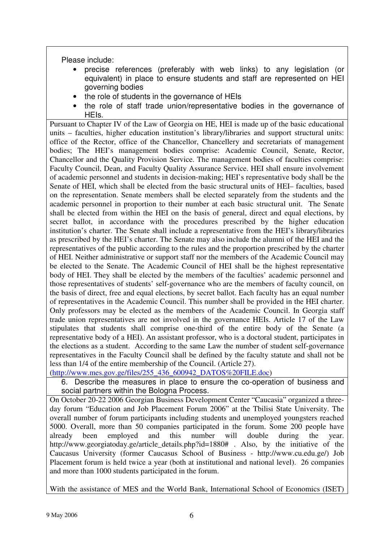Please include:

- precise references (preferably with web links) to any legislation (or equivalent) in place to ensure students and staff are represented on HEI governing bodies
- the role of students in the governance of HEIs
- the role of staff trade union/representative bodies in the governance of HEIs.

Pursuant to Chapter IV of the Law of Georgia on HE, HEI is made up of the basic educational units – faculties, higher education institution's library/libraries and support structural units: office of the Rector, office of the Chancellor, Chancellery and secretariats of management bodies; The HEI's management bodies comprise: Academic Council, Senate, Rector, Chancellor and the Quality Provision Service. The management bodies of faculties comprise: Faculty Council, Dean, and Faculty Quality Assurance Service. HEI shall ensure involvement of academic personnel and students in decision-making; HEI's representative body shall be the Senate of HEI, which shall be elected from the basic structural units of HEI– faculties, based on the representation. Senate members shall be elected separately from the students and the academic personnel in proportion to their number at each basic structural unit. The Senate shall be elected from within the HEI on the basis of general, direct and equal elections, by secret ballot, in accordance with the procedures prescribed by the higher education institution's charter. The Senate shall include a representative from the HEI's library/libraries as prescribed by the HEI's charter. The Senate may also include the alumni of the HEI and the representatives of the public according to the rules and the proportion prescribed by the charter of HEI. Neither administrative or support staff nor the members of the Academic Council may be elected to the Senate. The Academic Council of HEI shall be the highest representative body of HEI. They shall be elected by the members of the faculties' academic personnel and those representatives of students' self-governance who are the members of faculty council, on the basis of direct, free and equal elections, by secret ballot. Each faculty has an equal number of representatives in the Academic Council. This number shall be provided in the HEI charter. Only professors may be elected as the members of the Academic Council. In Georgia staff trade union representatives are not involved in the governance HEIs. Article 17 of the Law stipulates that students shall comprise one-third of the entire body of the Senate (a representative body of a HEI). An assistant professor, who is a doctoral student, participates in the elections as a student. According to the same Law the number of student self-governance representatives in the Faculty Council shall be defined by the faculty statute and shall not be less than 1/4 of the entire membership of the Council. (Article 27).

(http://www.mes.gov.ge/files/255\_436\_600942\_DATOS%20FILE.doc)

6. Describe the measures in place to ensure the co-operation of business and social partners within the Bologna Process.

On October 20-22 2006 Georgian Business Development Center "Caucasia" organized a threeday forum "Education and Job Placement Forum 2006" at the Tbilisi State University. The overall number of forum participants including students and unemployed youngsters reached 5000. Overall, more than 50 companies participated in the forum. Some 200 people have already been employed and this number will double during the year. http://www.georgiatoday.ge/article\_details.php?id=1880# . Also, by the initiative of the Caucasus University (former Caucasus School of Business - http://www.cu.edu.ge/) Job Placement forum is held twice a year (both at institutional and national level). 26 companies and more than 1000 students participated in the forum.

With the assistance of MES and the World Bank, International School of Economics (ISET)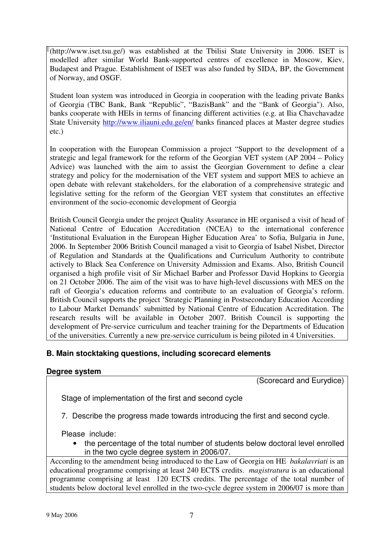(http://www.iset.tsu.ge/) was established at the Tbilisi State University in 2006. ISET is modelled after similar World Bank-supported centres of excellence in Moscow, Kiev, Budapest and Prague. Establishment of ISET was also funded by SIDA, BP, the Government of Norway, and OSGF.

Student loan system was introduced in Georgia in cooperation with the leading private Banks of Georgia (TBC Bank, Bank "Republic", "BazisBank" and the "Bank of Georgia"). Also, banks cooperate with HEIs in terms of financing different activities (e.g. at Ilia Chavchavadze State University http://www.iliauni.edu.ge/en/ banks financed places at Master degree studies etc.)

In cooperation with the European Commission a project "Support to the development of a strategic and legal framework for the reform of the Georgian VET system (AP 2004 – Policy Advice) was launched with the aim to assist the Georgian Government to define a clear strategy and policy for the modernisation of the VET system and support MES to achieve an open debate with relevant stakeholders, for the elaboration of a comprehensive strategic and legislative setting for the reform of the Georgian VET system that constitutes an effective environment of the socio-economic development of Georgia

British Council Georgia under the project Quality Assurance in HE organised a visit of head of National Centre of Education Accreditation (NCEA) to the international conference 'Institutional Evaluation in the European Higher Education Area' to Sofia, Bulgaria in June, 2006. In September 2006 British Council managed a visit to Georgia of Isabel Nisbet, Director of Regulation and Standards at the Qualifications and Curriculum Authority to contribute actively to Black Sea Conference on University Admission and Exams. Also, British Council organised a high profile visit of Sir Michael Barber and Professor David Hopkins to Georgia on 21 October 2006. The aim of the visit was to have high-level discussions with MES on the raft of Georgia's education reforms and contribute to an evaluation of Georgia's reform. British Council supports the project 'Strategic Planning in Postsecondary Education According to Labour Market Demands' submitted by National Centre of Education Accreditation. The research results will be available in October 2007. British Council is supporting the development of Pre-service curriculum and teacher training for the Departments of Education of the universities. Currently a new pre-service curriculum is being piloted in 4 Universities.

## **B. Main stocktaking questions, including scorecard elements**

### **Degree system**

(Scorecard and Eurydice)

Stage of implementation of the first and second cycle

7. Describe the progress made towards introducing the first and second cycle.

Please include:

• the percentage of the total number of students below doctoral level enrolled in the two cycle degree system in 2006/07.

According to the amendment being introduced to the Law of Georgia on HE *bakalavriati* is an educational programme comprising at least 240 ECTS credits. *magistratura* is an educational programme comprising at least 120 ECTS credits. The percentage of the total number of students below doctoral level enrolled in the two-cycle degree system in 2006/07 is more than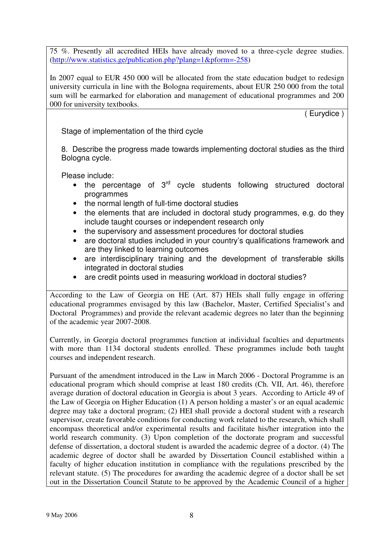75 %. Presently all accredited HEIs have already moved to a three-cycle degree studies. (http://www.statistics.ge/publication.php?plang=1&pform=-258)

In 2007 equal to EUR 450 000 will be allocated from the state education budget to redesign university curricula in line with the Bologna requirements, about EUR 250 000 from the total sum will be earmarked for elaboration and management of educational programmes and 200 000 for university textbooks.

( Eurydice )

Stage of implementation of the third cycle

8. Describe the progress made towards implementing doctoral studies as the third Bologna cycle.

Please include:

- the percentage of 3<sup>rd</sup> cycle students following structured doctoral programmes
- the normal length of full-time doctoral studies
- the elements that are included in doctoral study programmes, e.g. do they include taught courses or independent research only
- the supervisory and assessment procedures for doctoral studies
- are doctoral studies included in your country's qualifications framework and are they linked to learning outcomes
- are interdisciplinary training and the development of transferable skills integrated in doctoral studies
- are credit points used in measuring workload in doctoral studies?

According to the Law of Georgia on HE (Art. 87) HEIs shall fully engage in offering educational programmes envisaged by this law (Bachelor, Master, Certified Specialist's and Doctoral Programmes) and provide the relevant academic degrees no later than the beginning of the academic year 2007-2008.

Currently, in Georgia doctoral programmes function at individual faculties and departments with more than 1134 doctoral students enrolled. These programmes include both taught courses and independent research.

Pursuant of the amendment introduced in the Law in March 2006 - Doctoral Programme is an educational program which should comprise at least 180 credits (Ch. VII, Art. 46), therefore average duration of doctoral education in Georgia is about 3 years. According to Article 49 of the Law of Georgia on Higher Education (1) A person holding a master's or an equal academic degree may take a doctoral program; (2) HEI shall provide a doctoral student with a research supervisor, create favorable conditions for conducting work related to the research, which shall encompass theoretical and/or experimental results and facilitate his/her integration into the world research community. (3) Upon completion of the doctorate program and successful defense of dissertation, a doctoral student is awarded the academic degree of a doctor. (4) The academic degree of doctor shall be awarded by Dissertation Council established within a faculty of higher education institution in compliance with the regulations prescribed by the relevant statute. (5) The procedures for awarding the academic degree of a doctor shall be set out in the Dissertation Council Statute to be approved by the Academic Council of a higher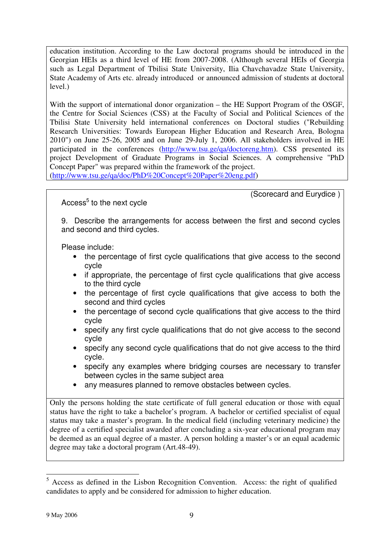education institution. According to the Law doctoral programs should be introduced in the Georgian HEIs as a third level of HE from 2007-2008. (Although several HEIs of Georgia such as Legal Department of Tbilisi State University, Ilia Chavchavadze State University, State Academy of Arts etc. already introduced or announced admission of students at doctoral level.)

With the support of international donor organization – the HE Support Program of the OSGF, the Centre for Social Sciences (CSS) at the Faculty of Social and Political Sciences of the Tbilisi State University held international conferences on Doctoral studies ("Rebuilding Research Universities: Towards European Higher Education and Research Area, Bologna 2010") on June 25-26, 2005 and on June 29-July 1, 2006. All stakeholders involved in HE participated in the conferences (http://www.tsu.ge/qa/doctoreng.htm). CSS presented its project Development of Graduate Programs in Social Sciences. A comprehensive "PhD Concept Paper" was prepared within the framework of the project.

(http://www.tsu.ge/qa/doc/PhD%20Concept%20Paper%20eng.pdf)

(Scorecard and Eurydice )

Access<sup>5</sup> to the next cycle

9. Describe the arrangements for access between the first and second cycles and second and third cycles.

Please include:

- the percentage of first cycle qualifications that give access to the second cycle
- if appropriate, the percentage of first cycle qualifications that give access to the third cycle
- the percentage of first cycle qualifications that give access to both the second and third cycles
- the percentage of second cycle qualifications that give access to the third cycle
- specify any first cycle qualifications that do not give access to the second cycle
- specify any second cycle qualifications that do not give access to the third cycle.
- specify any examples where bridging courses are necessary to transfer between cycles in the same subject area
- any measures planned to remove obstacles between cycles.

Only the persons holding the state certificate of full general education or those with equal status have the right to take a bachelor's program. A bachelor or certified specialist of equal status may take a master's program. In the medical field (including veterinary medicine) the degree of a certified specialist awarded after concluding a six-year educational program may be deemed as an equal degree of a master. A person holding a master's or an equal academic degree may take a doctoral program (Art.48-49).

 $5$  Access as defined in the Lisbon Recognition Convention. Access: the right of qualified candidates to apply and be considered for admission to higher education.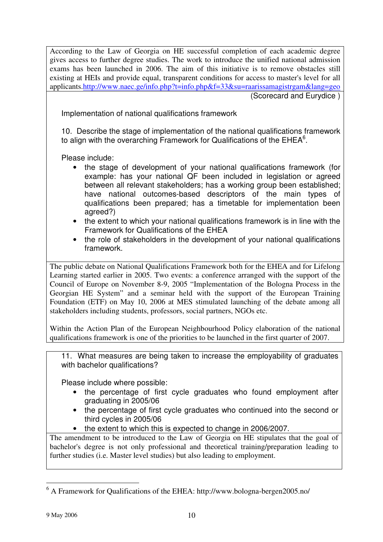According to the Law of Georgia on HE successful completion of each academic degree gives access to further degree studies. The work to introduce the unified national admission exams has been launched in 2006. The aim of this initiative is to remove obstacles still existing at HEIs and provide equal, transparent conditions for access to master's level for all applicants.http://www.naec.ge/info.php?t=info.php&f=33&su=raarissamagistrgam&lang=geo

(Scorecard and Eurydice )

Implementation of national qualifications framework

10. Describe the stage of implementation of the national qualifications framework to align with the overarching Framework for Qualifications of the  $EHEA<sup>6</sup>$ .

Please include:

- the stage of development of your national qualifications framework (for example: has your national QF been included in legislation or agreed between all relevant stakeholders; has a working group been established; have national outcomes-based descriptors of the main types of qualifications been prepared; has a timetable for implementation been agreed?)
- the extent to which your national qualifications framework is in line with the Framework for Qualifications of the EHEA
- the role of stakeholders in the development of your national qualifications framework.

The public debate on National Qualifications Framework both for the EHEA and for Lifelong Learning started earlier in 2005. Two events: a conference arranged with the support of the Council of Europe on November 8-9, 2005 "Implementation of the Bologna Process in the Georgian HE System" and a seminar held with the support of the European Training Foundation (ETF) on May 10, 2006 at MES stimulated launching of the debate among all stakeholders including students, professors, social partners, NGOs etc.

Within the Action Plan of the European Neighbourhood Policy elaboration of the national qualifications framework is one of the priorities to be launched in the first quarter of 2007.

11. What measures are being taken to increase the employability of graduates with bachelor qualifications?

Please include where possible:

- the percentage of first cycle graduates who found employment after graduating in 2005/06
- the percentage of first cycle graduates who continued into the second or third cycles in 2005/06
- the extent to which this is expected to change in 2006/2007.

The amendment to be introduced to the Law of Georgia on HE stipulates that the goal of bachelor's degree is not only professional and theoretical training/preparation leading to further studies (i.e. Master level studies) but also leading to employment.

<sup>6</sup> A Framework for Qualifications of the EHEA: http://www.bologna-bergen2005.no/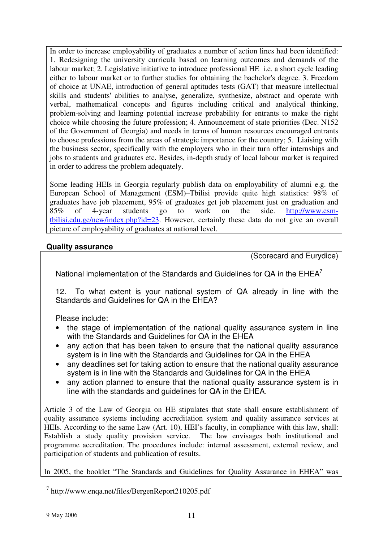In order to increase employability of graduates a number of action lines had been identified: 1. Redesigning the university curricula based on learning outcomes and demands of the labour market; 2. Legislative initiative to introduce professional HE i.e. a short cycle leading either to labour market or to further studies for obtaining the bachelor's degree. 3. Freedom of choice at UNAE, introduction of general aptitudes tests (GAT) that measure intellectual skills and students' abilities to analyse, generalize, synthesize, abstract and operate with verbal, mathematical concepts and figures including critical and analytical thinking, problem-solving and learning potential increase probability for entrants to make the right choice while choosing the future profession; 4. Announcement of state priorities (Dec. N152 of the Government of Georgia) and needs in terms of human resources encouraged entrants to choose professions from the areas of strategic importance for the country; 5. Liaising with the business sector, specifically with the employers who in their turn offer internships and jobs to students and graduates etc. Besides, in-depth study of local labour market is required in order to address the problem adequately.

Some leading HEIs in Georgia regularly publish data on employability of alumni e.g. the European School of Management (ESM)–Tbilisi provide quite high statistics: 98% of graduates have job placement, 95% of graduates get job placement just on graduation and 85% of 4-year students go to work on the side. http://www.esmtbilisi.edu.ge/new/index.php?id=23. However, certainly these data do not give an overall picture of employability of graduates at national level.

## **Quality assurance**

(Scorecard and Eurydice)

National implementation of the Standards and Guidelines for QA in the EHEA<sup>7</sup>

12. To what extent is your national system of QA already in line with the Standards and Guidelines for QA in the EHEA?

Please include:

- the stage of implementation of the national quality assurance system in line with the Standards and Guidelines for QA in the EHEA
- any action that has been taken to ensure that the national quality assurance system is in line with the Standards and Guidelines for QA in the EHEA
- any deadlines set for taking action to ensure that the national quality assurance system is in line with the Standards and Guidelines for QA in the EHEA
- any action planned to ensure that the national quality assurance system is in line with the standards and guidelines for QA in the EHEA.

Article 3 of the Law of Georgia on HE stipulates that state shall ensure establishment of quality assurance systems including accreditation system and quality assurance services at HEIs. According to the same Law (Art. 10), HEI's faculty, in compliance with this law, shall: Establish a study quality provision service. The law envisages both institutional and programme accreditation. The procedures include: internal assessment, external review, and participation of students and publication of results.

In 2005, the booklet "The Standards and Guidelines for Quality Assurance in EHEA" was

<sup>7</sup> http://www.enqa.net/files/BergenReport210205.pdf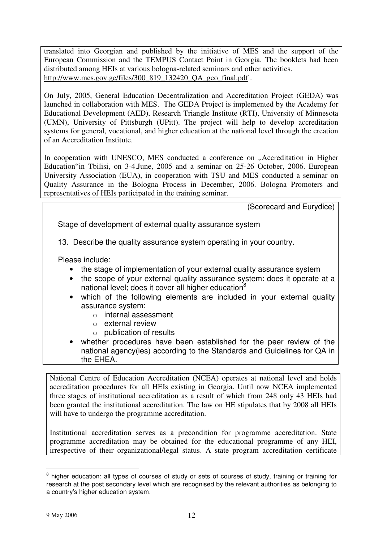translated into Georgian and published by the initiative of MES and the support of the European Commission and the TEMPUS Contact Point in Georgia. The booklets had been distributed among HEIs at various bologna-related seminars and other activities. http://www.mes.gov.ge/files/300\_819\_132420\_QA\_geo\_final.pdf .

On July, 2005, General Education Decentralization and Accreditation Project (GEDA) was launched in collaboration with MES. The GEDA Project is implemented by the Academy for Educational Development (AED), Research Triangle Institute (RTI), University of Minnesota (UMN), University of Pittsburgh (UPitt). The project will help to develop accreditation systems for general, vocational, and higher education at the national level through the creation of an Accreditation Institute.

In cooperation with UNESCO, MES conducted a conference on "Accreditation in Higher Education"in Tbilisi, on 3-4.June, 2005 and a seminar on 25-26 October, 2006. European University Association (EUA), in cooperation with TSU and MES conducted a seminar on Quality Assurance in the Bologna Process in December, 2006. Bologna Promoters and representatives of HEIs participated in the training seminar.

(Scorecard and Eurydice)

Stage of development of external quality assurance system

13. Describe the quality assurance system operating in your country.

Please include:

- the stage of implementation of your external quality assurance system
- the scope of your external quality assurance system: does it operate at a national level; does it cover all higher education<sup>8</sup>
- which of the following elements are included in your external quality assurance system:
	- o internal assessment
	- o external review
	- $\circ$  publication of results
- whether procedures have been established for the peer review of the national agency(ies) according to the Standards and Guidelines for QA in the EHEA.

National Centre of Education Accreditation (NCEA) operates at national level and holds accreditation procedures for all HEIs existing in Georgia. Until now NCEA implemented three stages of institutional accreditation as a result of which from 248 only 43 HEIs had been granted the institutional accreditation. The law on HE stipulates that by 2008 all HEIs will have to undergo the programme accreditation.

Institutional accreditation serves as a precondition for programme accreditation. State programme accreditation may be obtained for the educational programme of any HEI, irrespective of their organizational/legal status. A state program accreditation certificate

<sup>&</sup>lt;sup>8</sup> higher education: all types of courses of study or sets of courses of study, training or training for research at the post secondary level which are recognised by the relevant authorities as belonging to a country's higher education system.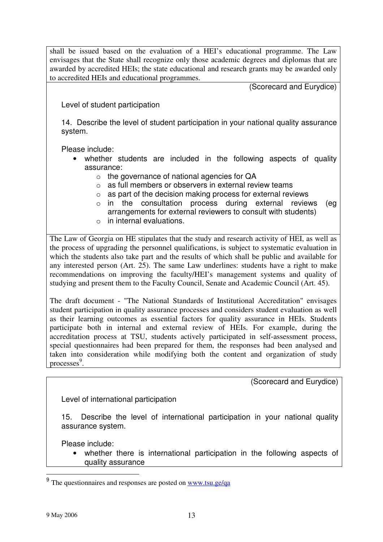shall be issued based on the evaluation of a HEI's educational programme. The Law envisages that the State shall recognize only those academic degrees and diplomas that are awarded by accredited HEIs; the state educational and research grants may be awarded only to accredited HEIs and educational programmes.

(Scorecard and Eurydice)

Level of student participation

14. Describe the level of student participation in your national quality assurance system.

Please include:

- whether students are included in the following aspects of quality assurance:
	- o the governance of national agencies for QA
	- o as full members or observers in external review teams
	- $\circ$  as part of the decision making process for external reviews
	- o in the consultation process during external reviews (eg arrangements for external reviewers to consult with students)
	- o in internal evaluations.

The Law of Georgia on HE stipulates that the study and research activity of HEI, as well as the process of upgrading the personnel qualifications, is subject to systematic evaluation in which the students also take part and the results of which shall be public and available for any interested person (Art. 25). The same Law underlines: students have a right to make recommendations on improving the faculty/HEI's management systems and quality of studying and present them to the Faculty Council, Senate and Academic Council (Art. 45).

The draft document - "The National Standards of Institutional Accreditation" envisages student participation in quality assurance processes and considers student evaluation as well as their learning outcomes as essential factors for quality assurance in HEIs. Students participate both in internal and external review of HEIs. For example, during the accreditation process at TSU, students actively participated in self-assessment process, special questionnaires had been prepared for them, the responses had been analysed and taken into consideration while modifying both the content and organization of study processes<sup>9</sup>.

(Scorecard and Eurydice)

Level of international participation

15. Describe the level of international participation in your national quality assurance system.

Please include:

• whether there is international participation in the following aspects of quality assurance

<sup>9</sup> The questionnaires and responses are posted on www.tsu.ge/qa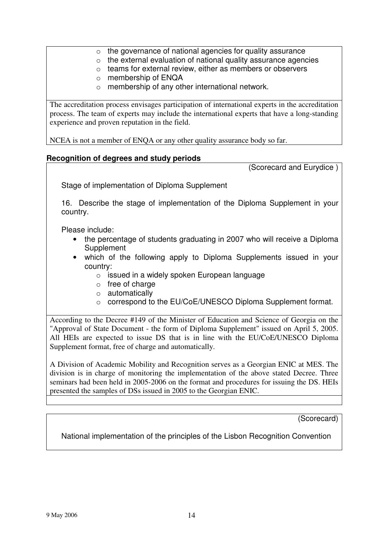- $\circ$  the governance of national agencies for quality assurance
- $\circ$  the external evaluation of national quality assurance agencies
- $\circ$  teams for external review, either as members or observers
- o membership of ENQA
- o membership of any other international network.

The accreditation process envisages participation of international experts in the accreditation process. The team of experts may include the international experts that have a long-standing experience and proven reputation in the field.

NCEA is not a member of ENQA or any other quality assurance body so far.

### **Recognition of degrees and study periods**

(Scorecard and Eurydice )

Stage of implementation of Diploma Supplement

16. Describe the stage of implementation of the Diploma Supplement in your country.

Please include:

- the percentage of students graduating in 2007 who will receive a Diploma **Supplement**
- which of the following apply to Diploma Supplements issued in your country:
	- $\circ$  issued in a widely spoken European language
	- o free of charge
	- o automatically
	- o correspond to the EU/CoE/UNESCO Diploma Supplement format.

According to the Decree #149 of the Minister of Education and Science of Georgia on the "Approval of State Document - the form of Diploma Supplement" issued on April 5, 2005. All HEIs are expected to issue DS that is in line with the EU/CoE/UNESCO Diploma Supplement format, free of charge and automatically.

A Division of Academic Mobility and Recognition serves as a Georgian ENIC at MES. The division is in charge of monitoring the implementation of the above stated Decree. Three seminars had been held in 2005-2006 on the format and procedures for issuing the DS. HEIs presented the samples of DSs issued in 2005 to the Georgian ENIC.

(Scorecard)

National implementation of the principles of the Lisbon Recognition Convention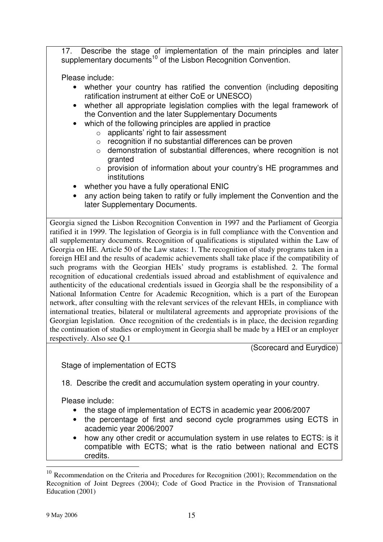17. Describe the stage of implementation of the main principles and later supplementary documents<sup>10</sup> of the Lisbon Recognition Convention.

Please include:

- whether your country has ratified the convention (including depositing ratification instrument at either CoE or UNESCO)
- whether all appropriate legislation complies with the legal framework of the Convention and the later Supplementary Documents
- which of the following principles are applied in practice
	- o applicants' right to fair assessment
	- o recognition if no substantial differences can be proven
	- o demonstration of substantial differences, where recognition is not granted
	- o provision of information about your country's HE programmes and institutions
- whether you have a fully operational ENIC
- any action being taken to ratify or fully implement the Convention and the later Supplementary Documents.

Georgia signed the Lisbon Recognition Convention in 1997 and the Parliament of Georgia ratified it in 1999. The legislation of Georgia is in full compliance with the Convention and all supplementary documents. Recognition of qualifications is stipulated within the Law of Georgia on HE. Article 50 of the Law states: 1. The recognition of study programs taken in a foreign HEI and the results of academic achievements shall take place if the compatibility of such programs with the Georgian HEIs' study programs is established. 2. The formal recognition of educational credentials issued abroad and establishment of equivalence and authenticity of the educational credentials issued in Georgia shall be the responsibility of a National Information Centre for Academic Recognition, which is a part of the European network, after consulting with the relevant services of the relevant HEIs, in compliance with international treaties, bilateral or multilateral agreements and appropriate provisions of the Georgian legislation. Once recognition of the credentials is in place, the decision regarding the continuation of studies or employment in Georgia shall be made by a HEI or an employer respectively. Also see Q.1

(Scorecard and Eurydice)

Stage of implementation of ECTS

18. Describe the credit and accumulation system operating in your country.

Please include:

- the stage of implementation of ECTS in academic year 2006/2007
- the percentage of first and second cycle programmes using ECTS in academic year 2006/2007
- how any other credit or accumulation system in use relates to ECTS: is it compatible with ECTS; what is the ratio between national and ECTS credits.

 $10$  Recommendation on the Criteria and Procedures for Recognition (2001); Recommendation on the Recognition of Joint Degrees (2004); Code of Good Practice in the Provision of Transnational Education (2001)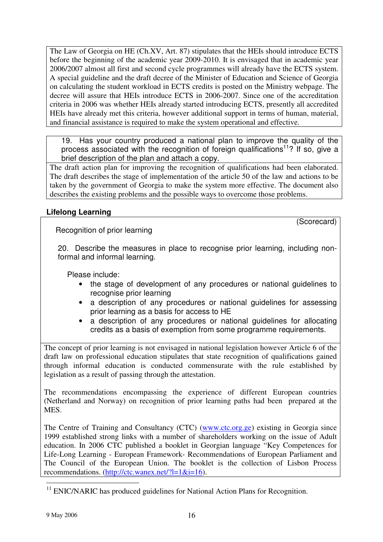The Law of Georgia on HE (Ch.XV, Art. 87) stipulates that the HEIs should introduce ECTS before the beginning of the academic year 2009-2010. It is envisaged that in academic year 2006/2007 almost all first and second cycle programmes will already have the ECTS system. A special guideline and the draft decree of the Minister of Education and Science of Georgia on calculating the student workload in ECTS credits is posted on the Ministry webpage. The decree will assure that HEIs introduce ECTS in 2006-2007. Since one of the accreditation criteria in 2006 was whether HEIs already started introducing ECTS, presently all accredited HEIs have already met this criteria, however additional support in terms of human, material, and financial assistance is required to make the system operational and effective.

19. Has your country produced a national plan to improve the quality of the process associated with the recognition of foreign qualifications<sup>11</sup>? If so, give a brief description of the plan and attach a copy.

The draft action plan for improving the recognition of qualifications had been elaborated. The draft describes the stage of implementation of the article 50 of the law and actions to be taken by the government of Georgia to make the system more effective. The document also describes the existing problems and the possible ways to overcome those problems.

# **Lifelong Learning**

Recognition of prior learning

(Scorecard)

20. Describe the measures in place to recognise prior learning, including nonformal and informal learning.

Please include:

- the stage of development of any procedures or national guidelines to recognise prior learning
- a description of any procedures or national guidelines for assessing prior learning as a basis for access to HE
- a description of any procedures or national guidelines for allocating credits as a basis of exemption from some programme requirements.

The concept of prior learning is not envisaged in national legislation however Article 6 of the draft law on professional education stipulates that state recognition of qualifications gained through informal education is conducted commensurate with the rule established by legislation as a result of passing through the attestation.

The recommendations encompassing the experience of different European countries (Netherland and Norway) on recognition of prior learning paths had been prepared at the MES.

The Centre of Training and Consultancy (CTC) (www.ctc.org.ge) existing in Georgia since 1999 established strong links with a number of shareholders working on the issue of Adult education. In 2006 CTC published a booklet in Georgian language "Key Competences for Life-Long Learning - European Framework- Recommendations of European Parliament and The Council of the European Union. The booklet is the collection of Lisbon Process recommendations. (http://ctc.wanex.net/?l=1&i=16).

<sup>&</sup>lt;sup>11</sup> ENIC/NARIC has produced guidelines for National Action Plans for Recognition.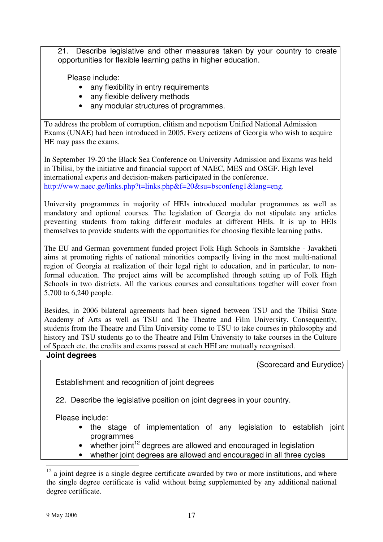21. Describe legislative and other measures taken by your country to create opportunities for flexible learning paths in higher education.

Please include:

- any flexibility in entry requirements
- any flexible delivery methods
- any modular structures of programmes.

To address the problem of corruption, elitism and nepotism Unified National Admission Exams (UNAE) had been introduced in 2005. Every cetizens of Georgia who wish to acquire HE may pass the exams.

In September 19-20 the Black Sea Conference on University Admission and Exams was held in Tbilisi, by the initiative and financial support of NAEC, MES and OSGF. High level international experts and decision-makers participated in the conference. http://www.naec.ge/links.php?t=links.php&f=20&su=bsconfeng1&lang=eng.

University programmes in majority of HEIs introduced modular programmes as well as mandatory and optional courses. The legislation of Georgia do not stipulate any articles preventing students from taking different modules at different HEIs. It is up to HEIs themselves to provide students with the opportunities for choosing flexible learning paths.

The EU and German government funded project Folk High Schools in Samtskhe - Javakheti aims at promoting rights of national minorities compactly living in the most multi-national region of Georgia at realization of their legal right to education, and in particular, to nonformal education. The project aims will be accomplished through setting up of Folk High Schools in two districts. All the various courses and consultations together will cover from 5,700 to 6,240 people.

Besides, in 2006 bilateral agreements had been signed between TSU and the Tbilisi State Academy of Arts as well as TSU and The Theatre and Film University. Consequently, students from the Theatre and Film University come to TSU to take courses in philosophy and history and TSU students go to the Theatre and Film University to take courses in the Culture of Speech etc. the credits and exams passed at each HEI are mutually recognised.

## **Joint degrees**

(Scorecard and Eurydice)

Establishment and recognition of joint degrees

22. Describe the legislative position on joint degrees in your country.

Please include:

- the stage of implementation of any legislation to establish joint programmes
- whether joint<sup>12</sup> degrees are allowed and encouraged in legislation
- whether joint degrees are allowed and encouraged in all three cycles

 $12$  a joint degree is a single degree certificate awarded by two or more institutions, and where the single degree certificate is valid without being supplemented by any additional national degree certificate.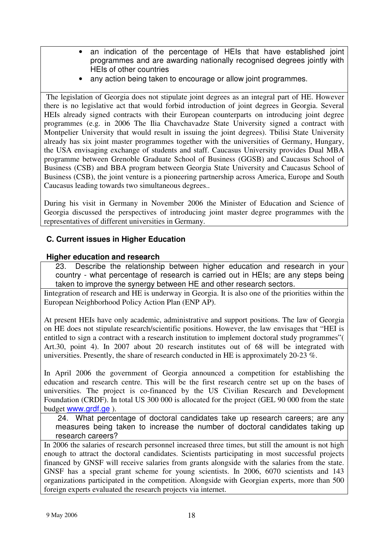- an indication of the percentage of HEIs that have established joint programmes and are awarding nationally recognised degrees jointly with HEIs of other countries
- any action being taken to encourage or allow joint programmes.

The legislation of Georgia does not stipulate joint degrees as an integral part of HE. However there is no legislative act that would forbid introduction of joint degrees in Georgia. Several HEIs already signed contracts with their European counterparts on introducing joint degree programmes (e.g. in 2006 The Ilia Chavchavadze State University signed a contract with Montpelier University that would result in issuing the joint degrees). Tbilisi State University already has six joint master programmes together with the universities of Germany, Hungary, the USA envisaging exchange of students and staff. Caucasus University provides Dual MBA programme between Grenoble Graduate School of Business (GGSB) and Caucasus School of Business (CSB) and BBA program between Georgia State University and Caucasus School of Business (CSB), the joint venture is a pioneering partnership across America, Europe and South Caucasus leading towards two simultaneous degrees..

During his visit in Germany in November 2006 the Minister of Education and Science of Georgia discussed the perspectives of introducing joint master degree programmes with the representatives of different universities in Germany.

# **C. Current issues in Higher Education**

### **Higher education and research**

23. Describe the relationship between higher education and research in your country - what percentage of research is carried out in HEIs; are any steps being taken to improve the synergy between HE and other research sectors.

Iintegration of research and HE is underway in Georgia. It is also one of the priorities within the European Neighborhood Policy Action Plan (ENP AP).

At present HEIs have only academic, administrative and support positions. The law of Georgia on HE does not stipulate research/scientific positions. However, the law envisages that "HEI is entitled to sign a contract with a research institution to implement doctoral study programmes"( Art.30, point 4). In 2007 about 20 research institutes out of 68 will be integrated with universities. Presently, the share of research conducted in HE is approximately 20-23 %.

In April 2006 the government of Georgia announced a competition for establishing the education and research centre. This will be the first research centre set up on the bases of universities. The project is co-financed by the US Civilian Research and Development Foundation (CRDF). In total US 300 000 is allocated for the project (GEL 90 000 from the state budget www.grdf.ge ).

24. What percentage of doctoral candidates take up research careers; are any measures being taken to increase the number of doctoral candidates taking up research careers?

In 2006 the salaries of research personnel increased three times, but still the amount is not high enough to attract the doctoral candidates. Scientists participating in most successful projects financed by GNSF will receive salaries from grants alongside with the salaries from the state. GNSF has a special grant scheme for young scientists. In 2006, 6070 scientists and 143 organizations participated in the competition. Alongside with Georgian experts, more than 500 foreign experts evaluated the research projects via internet.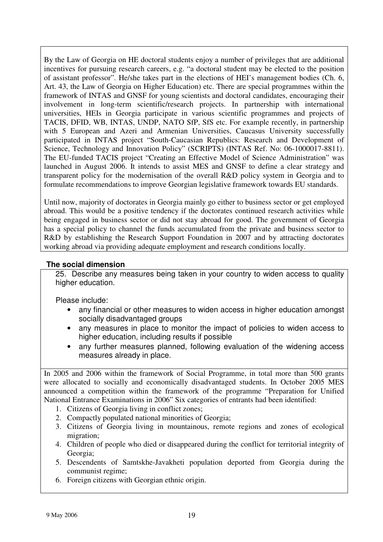By the Law of Georgia on HE doctoral students enjoy a number of privileges that are additional incentives for pursuing research careers, e.g. "a doctoral student may be elected to the position of assistant professor". He/she takes part in the elections of HEI's management bodies (Ch. 6, Art. 43, the Law of Georgia on Higher Education) etc. There are special programmes within the framework of INTAS and GNSF for young scientists and doctoral candidates, encouraging their involvement in long-term scientific/research projects. In partnership with international universities, HEIs in Georgia participate in various scientific programmes and projects of TACIS, DFID, WB, INTAS, UNDP, NATO SfP, SfS etc. For example recently, in partnership with 5 European and Azeri and Armenian Universities, Caucasus University successfully participated in INTAS project "South-Caucasian Republics: Research and Development of Science, Technology and Innovation Policy" (SCRIPTS) (INTAS Ref. No: 06-1000017-8811). The EU-funded TACIS project "Creating an Effective Model of Science Administration" was launched in August 2006. It intends to assist MES and GNSF to define a clear strategy and transparent policy for the modernisation of the overall R&D policy system in Georgia and to formulate recommendations to improve Georgian legislative framework towards EU standards.

Until now, majority of doctorates in Georgia mainly go either to business sector or get employed abroad. This would be a positive tendency if the doctorates continued research activities while being engaged in business sector or did not stay abroad for good. The government of Georgia has a special policy to channel the funds accumulated from the private and business sector to R&D by establishing the Research Support Foundation in 2007 and by attracting doctorates working abroad via providing adequate employment and research conditions locally.

## **The social dimension**

25. Describe any measures being taken in your country to widen access to quality higher education.

Please include:

- any financial or other measures to widen access in higher education amongst socially disadvantaged groups
- any measures in place to monitor the impact of policies to widen access to higher education, including results if possible
- any further measures planned, following evaluation of the widening access measures already in place.

In 2005 and 2006 within the framework of Social Programme, in total more than 500 grants were allocated to socially and economically disadvantaged students. In October 2005 MES announced a competition within the framework of the programme "Preparation for Unified National Entrance Examinations in 2006" Six categories of entrants had been identified:

- 1. Citizens of Georgia living in conflict zones;
- 2. Compactly populated national minorities of Georgia;
- 3. Citizens of Georgia living in mountainous, remote regions and zones of ecological migration;
- 4. Children of people who died or disappeared during the conflict for territorial integrity of Georgia;
- 5. Descendents of Samtskhe-Javakheti population deported from Georgia during the communist regime;
- 6. Foreign citizens with Georgian ethnic origin.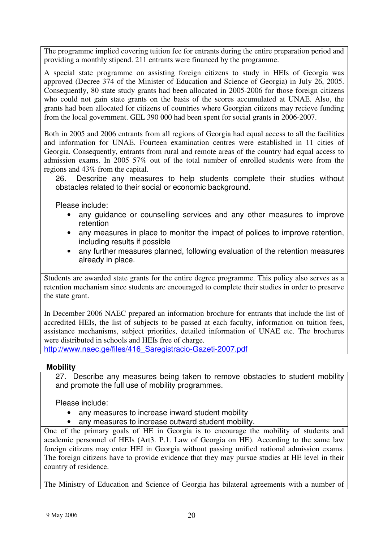The programme implied covering tuition fee for entrants during the entire preparation period and providing a monthly stipend. 211 entrants were financed by the programme.

A special state programme on assisting foreign citizens to study in HEIs of Georgia was approved (Decree 374 of the Minister of Education and Science of Georgia) in July 26, 2005. Consequently, 80 state study grants had been allocated in 2005-2006 for those foreign citizens who could not gain state grants on the basis of the scores accumulated at UNAE. Also, the grants had been allocated for citizens of countries where Georgian citizens may recieve funding from the local government. GEL 390 000 had been spent for social grants in 2006-2007.

Both in 2005 and 2006 entrants from all regions of Georgia had equal access to all the facilities and information for UNAE. Fourteen examination centres were established in 11 cities of Georgia. Consequently, entrants from rural and remote areas of the country had equal access to admission exams. In 2005 57% out of the total number of enrolled students were from the regions and 43% from the capital.

26. Describe any measures to help students complete their studies without obstacles related to their social or economic background.

Please include:

- any guidance or counselling services and any other measures to improve retention
- any measures in place to monitor the impact of polices to improve retention, including results if possible
- any further measures planned, following evaluation of the retention measures already in place.

Students are awarded state grants for the entire degree programme. This policy also serves as a retention mechanism since students are encouraged to complete their studies in order to preserve the state grant.

In December 2006 NAEC prepared an information brochure for entrants that include the list of accredited HEIs, the list of subjects to be passed at each faculty, information on tuition fees, assistance mechanisms, subject priorities, detailed information of UNAE etc. The brochures were distributed in schools and HEIs free of charge.

http://www.naec.ge/files/416\_Saregistracio-Gazeti-2007.pdf

### **Mobility**

27. Describe any measures being taken to remove obstacles to student mobility and promote the full use of mobility programmes.

Please include:

- any measures to increase inward student mobility
- any measures to increase outward student mobility.

One of the primary goals of HE in Georgia is to encourage the mobility of students and academic personnel of HEIs (Art3. P.1. Law of Georgia on HE). According to the same law foreign citizens may enter HEI in Georgia without passing unified national admission exams. The foreign citizens have to provide evidence that they may pursue studies at HE level in their country of residence.

The Ministry of Education and Science of Georgia has bilateral agreements with a number of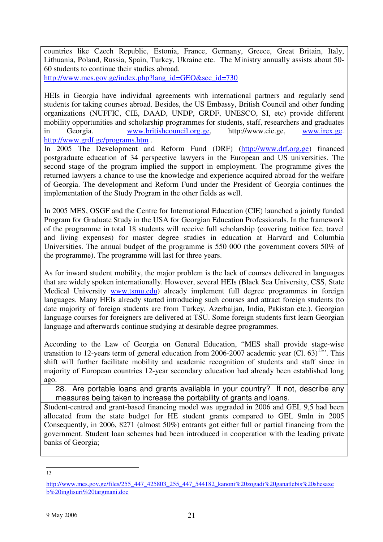countries like Czech Republic, Estonia, France, Germany, Greece, Great Britain, Italy, Lithuania, Poland, Russia, Spain, Turkey, Ukraine etc. The Ministry annually assists about 50- 60 students to continue their studies abroad.

http://www.mes.gov.ge/index.php?lang\_id=GEO&sec\_id=730

HEIs in Georgia have individual agreements with international partners and regularly send students for taking courses abroad. Besides, the US Embassy, British Council and other funding organizations (NUFFIC, CIE, DAAD, UNDP, GRDF, UNESCO, SI, etc) provide different mobility opportunities and scholarship programmes for students, staff, researchers and graduates in Georgia. www.britishcouncil.org.ge, http://www.cie.ge, www.irex.ge. http://www.grdf.ge/programs.htm .

In 2005 The Development and Reform Fund (DRF) (http://www.drf.org.ge) financed postgraduate education of 34 perspective lawyers in the European and US universities. The second stage of the program implied the support in employment. The programme gives the returned lawyers a chance to use the knowledge and experience acquired abroad for the welfare of Georgia. The development and Reform Fund under the President of Georgia continues the implementation of the Study Program in the other fields as well.

In 2005 MES, OSGF and the Centre for International Education (CIE) launched a jointly funded Program for Graduate Study in the USA for Georgian Education Professionals. In the framework of the programme in total 18 students will receive full scholarship (covering tuition fee, travel and living expenses) for master degree studies in education at Harvard and Columbia Universities. The annual budget of the programme is 550 000 (the government covers 50% of the programme). The programme will last for three years.

As for inward student mobility, the major problem is the lack of courses delivered in languages that are widely spoken internationally. However, several HEIs (Black Sea University, CSS, State Medical University www.tsmu.edu) already implement full degree programmes in foreign languages. Many HEIs already started introducing such courses and attract foreign students (to date majority of foreign students are from Turkey, Azerbaijan, India, Pakistan etc.). Georgian language courses for foreigners are delivered at TSU. Some foreign students first learn Georgian language and afterwards continue studying at desirable degree programmes.

According to the Law of Georgia on General Education, "MES shall provide stage-wise transition to 12-years term of general education from 2006-2007 academic year (Cl. 63)<sup>13,</sup> This shift will further facilitate mobility and academic recognition of students and staff since in majority of European countries 12-year secondary education had already been established long ago.

28. Are portable loans and grants available in your country? If not, describe any measures being taken to increase the portability of grants and loans.

Student-centred and grant-based financing model was upgraded in 2006 and GEL 9,5 had been allocated from the state budget for HE student grants compared to GEL 9mln in 2005 Consequently, in 2006, 8271 (almost 50%) entrants got either full or partial financing from the government. Student loan schemes had been introduced in cooperation with the leading private banks of Georgia;

13

http://www.mes.gov.ge/files/255\_447\_425803\_255\_447\_544182\_kanoni%20zogadi%20ganatlebis%20shesaxe b%20inglisuri%20targmani.doc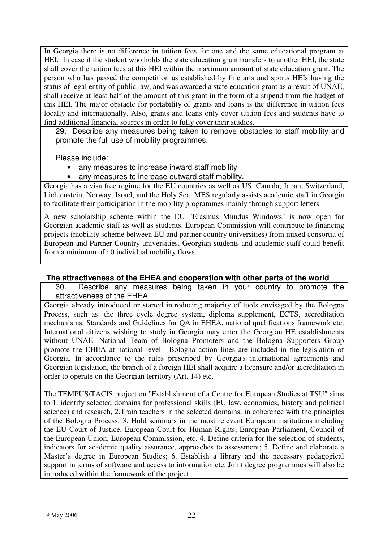In Georgia there is no difference in tuition fees for one and the same educational program at HEI. In case if the student who holds the state education grant transfers to another HEI, the state shall cover the tuition fees at this HEI within the maximum amount of state education grant. The person who has passed the competition as established by fine arts and sports HEIs having the status of legal entity of public law, and was awarded a state education grant as a result of UNAE, shall receive at least half of the amount of this grant in the form of a stipend from the budget of this HEI. The major obstacle for portability of grants and loans is the difference in tuition fees locally and internationally. Also, grants and loans only cover tuition fees and students have to find additional financial sources in order to fully cover their studies.

29. Describe any measures being taken to remove obstacles to staff mobility and promote the full use of mobility programmes.

Please include:

- any measures to increase inward staff mobility
- any measures to increase outward staff mobility.

Georgia has a visa free regime for the EU countries as well as US, Canada, Japan, Switzerland, Lichtenstein, Norway, Israel, and the Holy Sea. MES regularly assists academic staff in Georgia to facilitate their participation in the mobility programmes mainly through support letters.

A new scholarship scheme within the EU "Erasmus Mundus Windows" is now open for Georgian academic staff as well as students. European Commission will contribute to financing projects (mobility scheme between EU and partner country universities) from mixed consortia of European and Partner Country universities. Georgian students and academic staff could benefit from a minimum of 40 individual mobility flows.

## **The attractiveness of the EHEA and cooperation with other parts of the world**

30. Describe any measures being taken in your country to promote the attractiveness of the EHEA.

Georgia already introduced or started introducing majority of tools envisaged by the Bologna Process, such as: the three cycle degree system, diploma supplement, ECTS, accreditation mechanisms, Standards and Guidelines for QA in EHEA, national qualifications framework etc. International citizens wishing to study in Georgia may enter the Georgian HE establishments without UNAE. National Team of Bologna Promoters and the Bologna Supporters Group promote the EHEA at national level. Bologna action lines are included in the legislation of Georgia. In accordance to the rules prescribed by Georgia's international agreements and Georgian legislation, the branch of a foreign HEI shall acquire a licensure and/or accreditation in order to operate on the Georgian territory (Art. 14) etc.

The TEMPUS/TACIS project on "Establishment of a Centre for European Studies at TSU" aims to 1. identify selected domains for professional skills (EU law, economics, history and political science) and research, 2.Train teachers in the selected domains, in coherence with the principles of the Bologna Process; 3. Hold seminars in the most relevant European institutions including the EU Court of Justice, European Court for Human Rights, European Parliament, Council of the European Union, European Commission, etc. 4. Define criteria for the selection of students, indicators for academic quality assurance, approaches to assessment; 5. Define and elaborate a Master's degree in European Studies; 6. Establish a library and the necessary pedagogical support in terms of software and access to information etc. Joint degree programmes will also be introduced within the framework of the project.